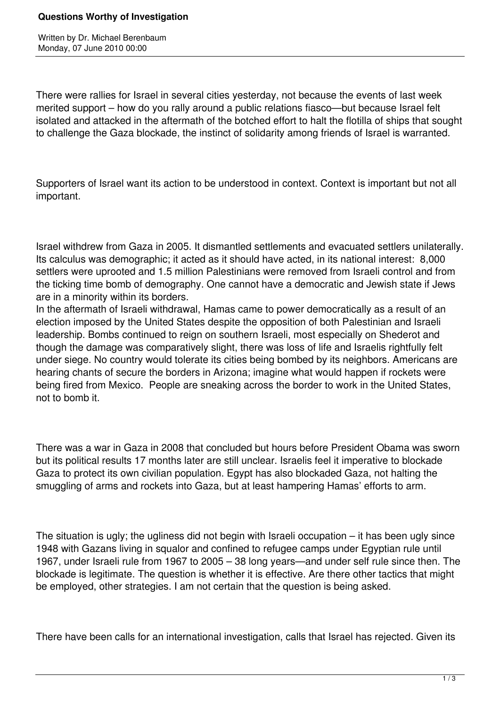## **Questions Worthy of Investigation**

Written by Dr. Michael Berenbaum Monday, 07 June 2010 00:00

There were rallies for Israel in several cities yesterday, not because the events of last week merited support – how do you rally around a public relations fiasco—but because Israel felt isolated and attacked in the aftermath of the botched effort to halt the flotilla of ships that sought to challenge the Gaza blockade, the instinct of solidarity among friends of Israel is warranted.

Supporters of Israel want its action to be understood in context. Context is important but not all important.

Israel withdrew from Gaza in 2005. It dismantled settlements and evacuated settlers unilaterally. Its calculus was demographic; it acted as it should have acted, in its national interest: 8,000 settlers were uprooted and 1.5 million Palestinians were removed from Israeli control and from the ticking time bomb of demography. One cannot have a democratic and Jewish state if Jews are in a minority within its borders.

In the aftermath of Israeli withdrawal, Hamas came to power democratically as a result of an election imposed by the United States despite the opposition of both Palestinian and Israeli leadership. Bombs continued to reign on southern Israeli, most especially on Shederot and though the damage was comparatively slight, there was loss of life and Israelis rightfully felt under siege. No country would tolerate its cities being bombed by its neighbors. Americans are hearing chants of secure the borders in Arizona; imagine what would happen if rockets were being fired from Mexico. People are sneaking across the border to work in the United States, not to bomb it.

There was a war in Gaza in 2008 that concluded but hours before President Obama was sworn but its political results 17 months later are still unclear. Israelis feel it imperative to blockade Gaza to protect its own civilian population. Egypt has also blockaded Gaza, not halting the smuggling of arms and rockets into Gaza, but at least hampering Hamas' efforts to arm.

The situation is ugly; the ugliness did not begin with Israeli occupation – it has been ugly since 1948 with Gazans living in squalor and confined to refugee camps under Egyptian rule until 1967, under Israeli rule from 1967 to 2005 – 38 long years—and under self rule since then. The blockade is legitimate. The question is whether it is effective. Are there other tactics that might be employed, other strategies. I am not certain that the question is being asked.

There have been calls for an international investigation, calls that Israel has rejected. Given its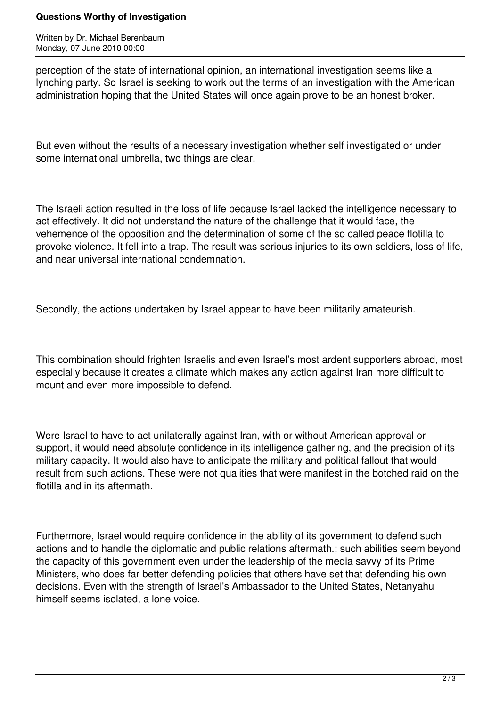## **Questions Worthy of Investigation**

Written by Dr. Michael Berenbaum Monday, 07 June 2010 00:00

perception of the state of international opinion, an international investigation seems like a lynching party. So Israel is seeking to work out the terms of an investigation with the American administration hoping that the United States will once again prove to be an honest broker.

But even without the results of a necessary investigation whether self investigated or under some international umbrella, two things are clear.

The Israeli action resulted in the loss of life because Israel lacked the intelligence necessary to act effectively. It did not understand the nature of the challenge that it would face, the vehemence of the opposition and the determination of some of the so called peace flotilla to provoke violence. It fell into a trap. The result was serious injuries to its own soldiers, loss of life, and near universal international condemnation.

Secondly, the actions undertaken by Israel appear to have been militarily amateurish.

This combination should frighten Israelis and even Israel's most ardent supporters abroad, most especially because it creates a climate which makes any action against Iran more difficult to mount and even more impossible to defend.

Were Israel to have to act unilaterally against Iran, with or without American approval or support, it would need absolute confidence in its intelligence gathering, and the precision of its military capacity. It would also have to anticipate the military and political fallout that would result from such actions. These were not qualities that were manifest in the botched raid on the flotilla and in its aftermath.

Furthermore, Israel would require confidence in the ability of its government to defend such actions and to handle the diplomatic and public relations aftermath.; such abilities seem beyond the capacity of this government even under the leadership of the media savvy of its Prime Ministers, who does far better defending policies that others have set that defending his own decisions. Even with the strength of Israel's Ambassador to the United States, Netanyahu himself seems isolated, a lone voice.